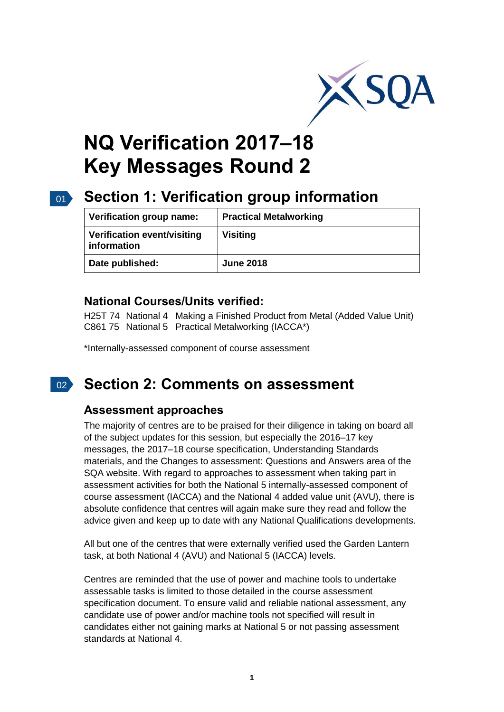

# **NQ Verification 2017–18 Key Messages Round 2**

# 01 **Section 1: Verification group information**

| Verification group name:                   | <b>Practical Metalworking</b> |
|--------------------------------------------|-------------------------------|
| Verification event/visiting<br>information | <b>Visiting</b>               |
| Date published:                            | <b>June 2018</b>              |

#### **National Courses/Units verified:**

H25T 74 National 4 Making a Finished Product from Metal (Added Value Unit) C861 75 National 5 Practical Metalworking (IACCA\*)

\*Internally-assessed component of course assessment

#### $\left|0\right\rangle$ **Section 2: Comments on assessment**

#### **Assessment approaches**

The majority of centres are to be praised for their diligence in taking on board all of the subject updates for this session, but especially the 2016–17 key messages, the 2017–18 course specification, Understanding Standards materials, and the Changes to assessment: Questions and Answers area of the SQA website. With regard to approaches to assessment when taking part in assessment activities for both the National 5 internally-assessed component of course assessment (IACCA) and the National 4 added value unit (AVU), there is absolute confidence that centres will again make sure they read and follow the advice given and keep up to date with any National Qualifications developments.

All but one of the centres that were externally verified used the Garden Lantern task, at both National 4 (AVU) and National 5 (IACCA) levels.

Centres are reminded that the use of power and machine tools to undertake assessable tasks is limited to those detailed in the course assessment specification document. To ensure valid and reliable national assessment, any candidate use of power and/or machine tools not specified will result in candidates either not gaining marks at National 5 or not passing assessment standards at National 4.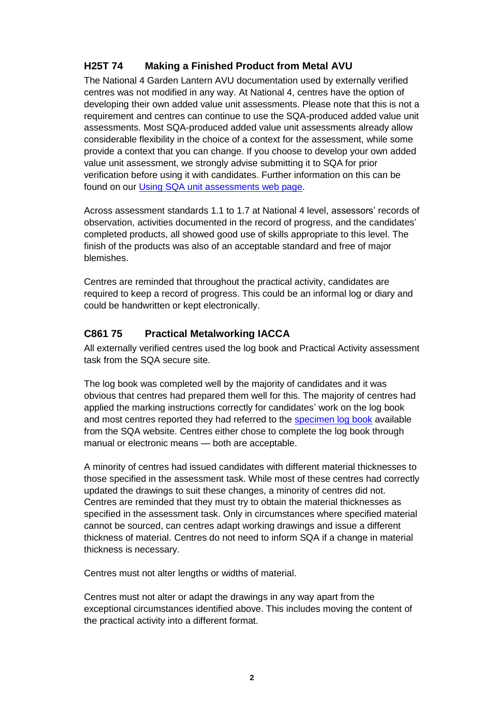#### **H25T 74 Making a Finished Product from Metal AVU**

The National 4 Garden Lantern AVU documentation used by externally verified centres was not modified in any way. At National 4, centres have the option of developing their own added value unit assessments. Please note that this is not a requirement and centres can continue to use the SQA-produced added value unit assessments. Most SQA-produced added value unit assessments already allow considerable flexibility in the choice of a context for the assessment, while some provide a context that you can change. If you choose to develop your own added value unit assessment, we strongly advise submitting it to SQA for prior verification before using it with candidates. Further information on this can be found on our [Using SQA unit assessments web page.](https://www.sqa.org.uk/sqa/64735.html)

Across assessment standards 1.1 to 1.7 at National 4 level, assessors' records of observation, activities documented in the record of progress, and the candidates' completed products, all showed good use of skills appropriate to this level. The finish of the products was also of an acceptable standard and free of major blemishes.

Centres are reminded that throughout the practical activity, candidates are required to keep a record of progress. This could be an informal log or diary and could be handwritten or kept electronically.

#### **C861 75 Practical Metalworking IACCA**

All externally verified centres used the log book and Practical Activity assessment task from the SQA secure site.

The log book was completed well by the majority of candidates and it was obvious that centres had prepared them well for this. The majority of centres had applied the marking instructions correctly for candidates' work on the log book and most centres reported they had referred to the [specimen log book](https://www.sqa.org.uk/files_ccc/SpecimenLogBookPractical%20MetalworkingN5CAT.pdf) available from the SQA website. Centres either chose to complete the log book through manual or electronic means — both are acceptable.

A minority of centres had issued candidates with different material thicknesses to those specified in the assessment task. While most of these centres had correctly updated the drawings to suit these changes, a minority of centres did not. Centres are reminded that they must try to obtain the material thicknesses as specified in the assessment task. Only in circumstances where specified material cannot be sourced, can centres adapt working drawings and issue a different thickness of material. Centres do not need to inform SQA if a change in material thickness is necessary.

Centres must not alter lengths or widths of material.

Centres must not alter or adapt the drawings in any way apart from the exceptional circumstances identified above. This includes moving the content of the practical activity into a different format.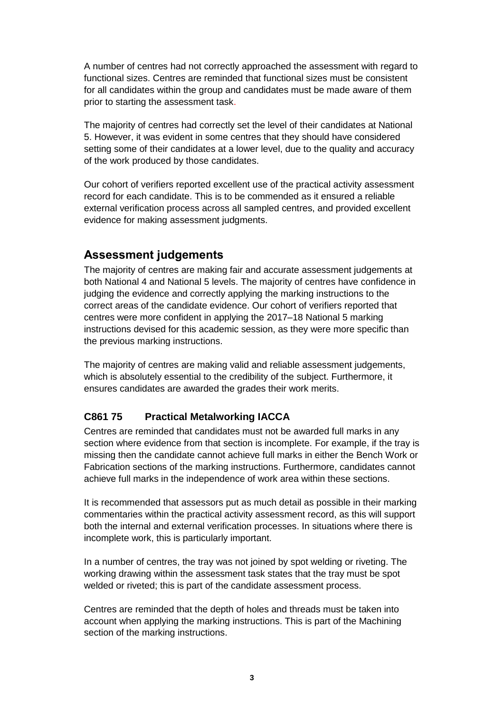A number of centres had not correctly approached the assessment with regard to functional sizes. Centres are reminded that functional sizes must be consistent for all candidates within the group and candidates must be made aware of them prior to starting the assessment task.

The majority of centres had correctly set the level of their candidates at National 5. However, it was evident in some centres that they should have considered setting some of their candidates at a lower level, due to the quality and accuracy of the work produced by those candidates.

Our cohort of verifiers reported excellent use of the practical activity assessment record for each candidate. This is to be commended as it ensured a reliable external verification process across all sampled centres, and provided excellent evidence for making assessment judgments.

### **Assessment judgements**

The majority of centres are making fair and accurate assessment judgements at both National 4 and National 5 levels. The majority of centres have confidence in judging the evidence and correctly applying the marking instructions to the correct areas of the candidate evidence. Our cohort of verifiers reported that centres were more confident in applying the 2017–18 National 5 marking instructions devised for this academic session, as they were more specific than the previous marking instructions.

The majority of centres are making valid and reliable assessment judgements, which is absolutely essential to the credibility of the subject. Furthermore, it ensures candidates are awarded the grades their work merits.

#### **C861 75 Practical Metalworking IACCA**

Centres are reminded that candidates must not be awarded full marks in any section where evidence from that section is incomplete. For example, if the tray is missing then the candidate cannot achieve full marks in either the Bench Work or Fabrication sections of the marking instructions. Furthermore, candidates cannot achieve full marks in the independence of work area within these sections.

It is recommended that assessors put as much detail as possible in their marking commentaries within the practical activity assessment record, as this will support both the internal and external verification processes. In situations where there is incomplete work, this is particularly important.

In a number of centres, the tray was not joined by spot welding or riveting. The working drawing within the assessment task states that the tray must be spot welded or riveted; this is part of the candidate assessment process.

Centres are reminded that the depth of holes and threads must be taken into account when applying the marking instructions. This is part of the Machining section of the marking instructions.